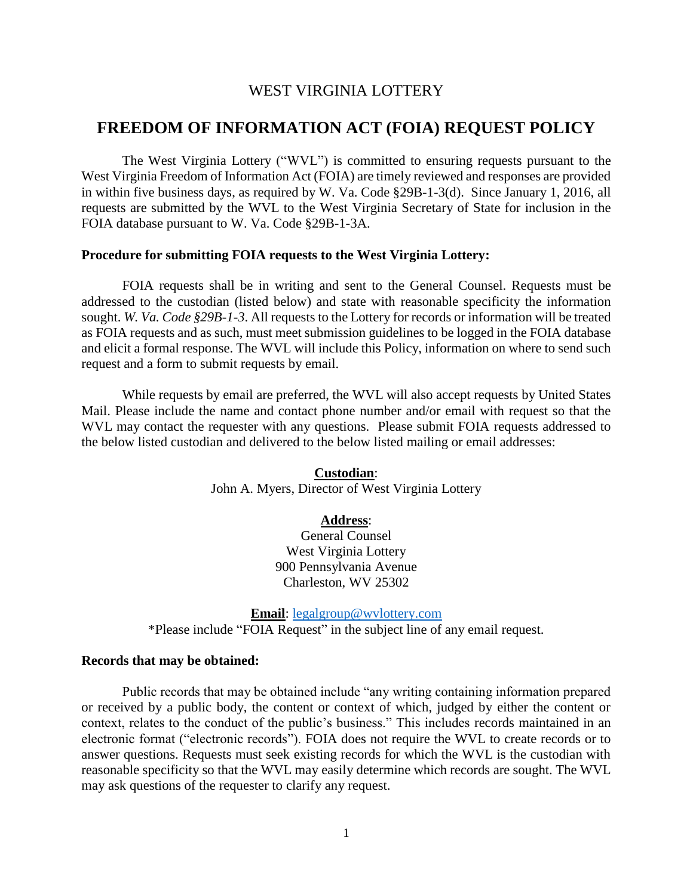## WEST VIRGINIA LOTTERY

# **FREEDOM OF INFORMATION ACT (FOIA) REQUEST POLICY**

The West Virginia Lottery ("WVL") is committed to ensuring requests pursuant to the West Virginia Freedom of Information Act (FOIA) are timely reviewed and responses are provided in within five business days, as required by W. Va. Code §29B-1-3(d). Since January 1, 2016, all requests are submitted by the WVL to the West Virginia Secretary of State for inclusion in the FOIA database pursuant to W. Va. Code §29B-1-3A.

### **Procedure for submitting FOIA requests to the West Virginia Lottery:**

FOIA requests shall be in writing and sent to the General Counsel. Requests must be addressed to the custodian (listed below) and state with reasonable specificity the information sought. *W. Va. Code §29B-1-3*. All requests to the Lottery for records or information will be treated as FOIA requests and as such, must meet submission guidelines to be logged in the FOIA database and elicit a formal response. The WVL will include this Policy, information on where to send such request and a form to submit requests by email.

While requests by email are preferred, the WVL will also accept requests by United States Mail. Please include the name and contact phone number and/or email with request so that the WVL may contact the requester with any questions. Please submit FOIA requests addressed to the below listed custodian and delivered to the below listed mailing or email addresses:

> **Custodian**: John A. Myers, Director of West Virginia Lottery

#### **Address**:

General Counsel West Virginia Lottery 900 Pennsylvania Avenue Charleston, WV 25302

**Email**: [legalgroup@wvlottery.com](mailto:legalgroup@wvlottery.com)

\*Please include "FOIA Request" in the subject line of any email request.

#### **Records that may be obtained:**

Public records that may be obtained include "any writing containing information prepared or received by a public body, the content or context of which, judged by either the content or context, relates to the conduct of the public's business." This includes records maintained in an electronic format ("electronic records"). FOIA does not require the WVL to create records or to answer questions. Requests must seek existing records for which the WVL is the custodian with reasonable specificity so that the WVL may easily determine which records are sought. The WVL may ask questions of the requester to clarify any request.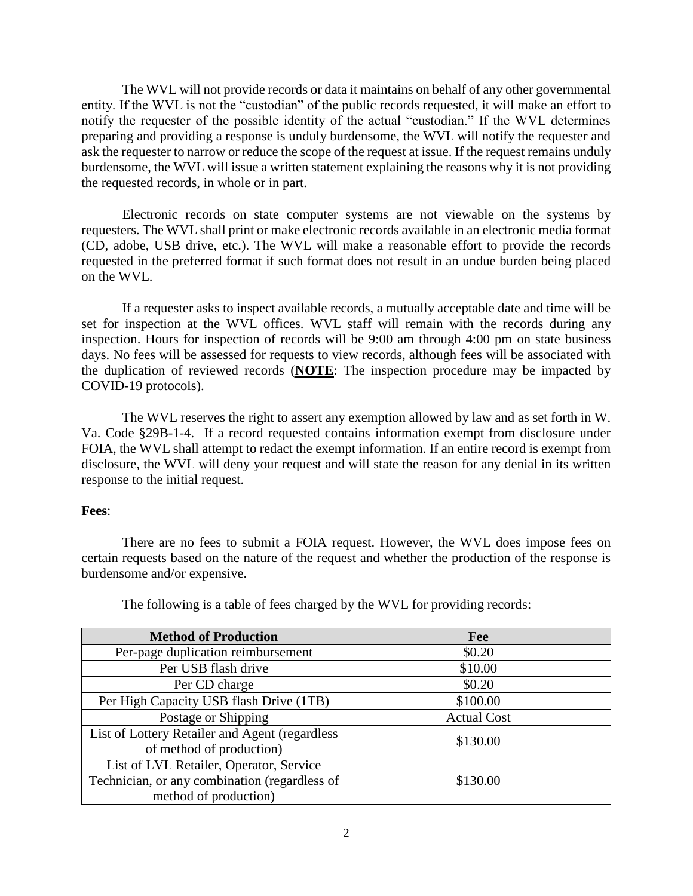The WVL will not provide records or data it maintains on behalf of any other governmental entity. If the WVL is not the "custodian" of the public records requested, it will make an effort to notify the requester of the possible identity of the actual "custodian." If the WVL determines preparing and providing a response is unduly burdensome, the WVL will notify the requester and ask the requester to narrow or reduce the scope of the request at issue. If the request remains unduly burdensome, the WVL will issue a written statement explaining the reasons why it is not providing the requested records, in whole or in part.

Electronic records on state computer systems are not viewable on the systems by requesters. The WVL shall print or make electronic records available in an electronic media format (CD, adobe, USB drive, etc.). The WVL will make a reasonable effort to provide the records requested in the preferred format if such format does not result in an undue burden being placed on the WVL.

If a requester asks to inspect available records, a mutually acceptable date and time will be set for inspection at the WVL offices. WVL staff will remain with the records during any inspection. Hours for inspection of records will be 9:00 am through 4:00 pm on state business days. No fees will be assessed for requests to view records, although fees will be associated with the duplication of reviewed records (**NOTE**: The inspection procedure may be impacted by COVID-19 protocols).

The WVL reserves the right to assert any exemption allowed by law and as set forth in W. Va. Code §29B-1-4. If a record requested contains information exempt from disclosure under FOIA, the WVL shall attempt to redact the exempt information. If an entire record is exempt from disclosure, the WVL will deny your request and will state the reason for any denial in its written response to the initial request.

#### **Fees**:

There are no fees to submit a FOIA request. However, the WVL does impose fees on certain requests based on the nature of the request and whether the production of the response is burdensome and/or expensive.

| <b>Method of Production</b>                    | Fee                |
|------------------------------------------------|--------------------|
| Per-page duplication reimbursement             | \$0.20             |
| Per USB flash drive                            | \$10.00            |
| Per CD charge                                  | \$0.20             |
| Per High Capacity USB flash Drive (1TB)        | \$100.00           |
| Postage or Shipping                            | <b>Actual Cost</b> |
| List of Lottery Retailer and Agent (regardless | \$130.00           |
| of method of production)                       |                    |
| List of LVL Retailer, Operator, Service        |                    |
| Technician, or any combination (regardless of  | \$130.00           |
| method of production)                          |                    |

The following is a table of fees charged by the WVL for providing records: